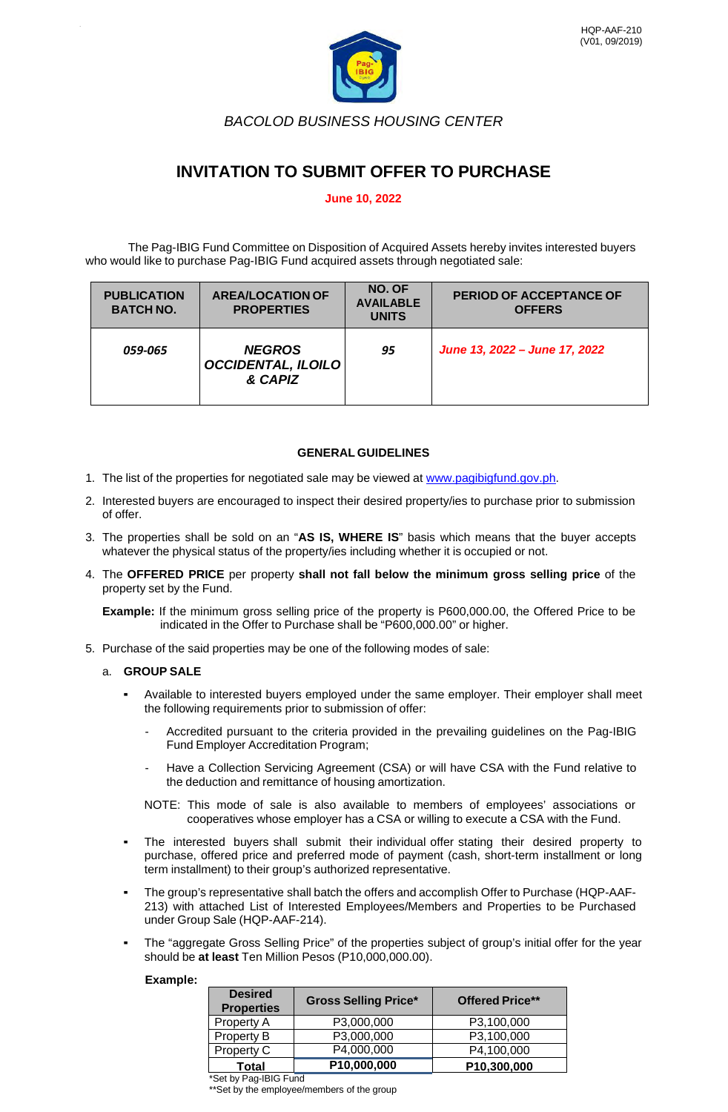

*BACOLOD BUSINESS HOUSING CENTER*

# **INVITATION TO SUBMIT OFFER TO PURCHASE**

# **June 10, 2022**

The Pag-IBIG Fund Committee on Disposition of Acquired Assets hereby invites interested buyers who would like to purchase Pag-IBIG Fund acquired assets through negotiated sale:

| <b>PUBLICATION</b><br><b>BATCH NO.</b> | <b>AREA/LOCATION OF</b><br><b>PROPERTIES</b>          | NO. OF<br><b>AVAILABLE</b><br><b>UNITS</b> | <b>PERIOD OF ACCEPTANCE OF</b><br><b>OFFERS</b> |
|----------------------------------------|-------------------------------------------------------|--------------------------------------------|-------------------------------------------------|
| 059-065                                | <b>NEGROS</b><br><b>OCCIDENTAL, ILOILO</b><br>& CAPIZ | 95                                         | June 13, 2022 - June 17, 2022                   |

## **GENERAL GUIDELINES**

- 1. The list of the properties for negotiated sale may be viewed at [www.pagibigfund.gov.ph.](http://www.pagibigfund.gov.ph/)
- 2. Interested buyers are encouraged to inspect their desired property/ies to purchase prior to submission of offer.
- 3. The properties shall be sold on an "**AS IS, WHERE IS**" basis which means that the buyer accepts whatever the physical status of the property/ies including whether it is occupied or not.
- 4. The **OFFERED PRICE** per property **shall not fall below the minimum gross selling price** of the property set by the Fund.

**Example:** If the minimum gross selling price of the property is P600,000.00, the Offered Price to be indicated in the Offer to Purchase shall be "P600,000.00" or higher.

5. Purchase of the said properties may be one of the following modes of sale:

## a. **GROUP SALE**

- Available to interested buyers employed under the same employer. Their employer shall meet the following requirements prior to submission of offer:
	- Accredited pursuant to the criteria provided in the prevailing guidelines on the Pag-IBIG Fund Employer Accreditation Program;
	- Have a Collection Servicing Agreement (CSA) or will have CSA with the Fund relative to the deduction and remittance of housing amortization.
	- NOTE: This mode of sale is also available to members of employees' associations or cooperatives whose employer has a CSA or willing to execute a CSA with the Fund.
- The interested buyers shall submit their individual offer stating their desired property to purchase, offered price and preferred mode of payment (cash, short-term installment or long term installment) to their group's authorized representative.
- The group's representative shall batch the offers and accomplish Offer to Purchase (HQP-AAF-213) with attached List of Interested Employees/Members and Properties to be Purchased under Group Sale (HQP-AAF-214).
- The "aggregate Gross Selling Price" of the properties subject of group's initial offer for the year should be **at least** Ten Million Pesos (P10,000,000.00).

#### **Example:**

| <b>Desired</b><br><b>Properties</b> | <b>Gross Selling Price*</b> | <b>Offered Price**</b> |  |  |  |
|-------------------------------------|-----------------------------|------------------------|--|--|--|
| Property A                          | P3,000,000                  | P3,100,000             |  |  |  |
| Property B                          | P3,000,000                  | P3,100,000             |  |  |  |
| Property C                          | P4,000,000                  | P4,100,000             |  |  |  |
| Total                               | P10,000,000                 | P10,300,000            |  |  |  |

\*Set by Pag-IBIG Fund

\*\*Set by the employee/members of the group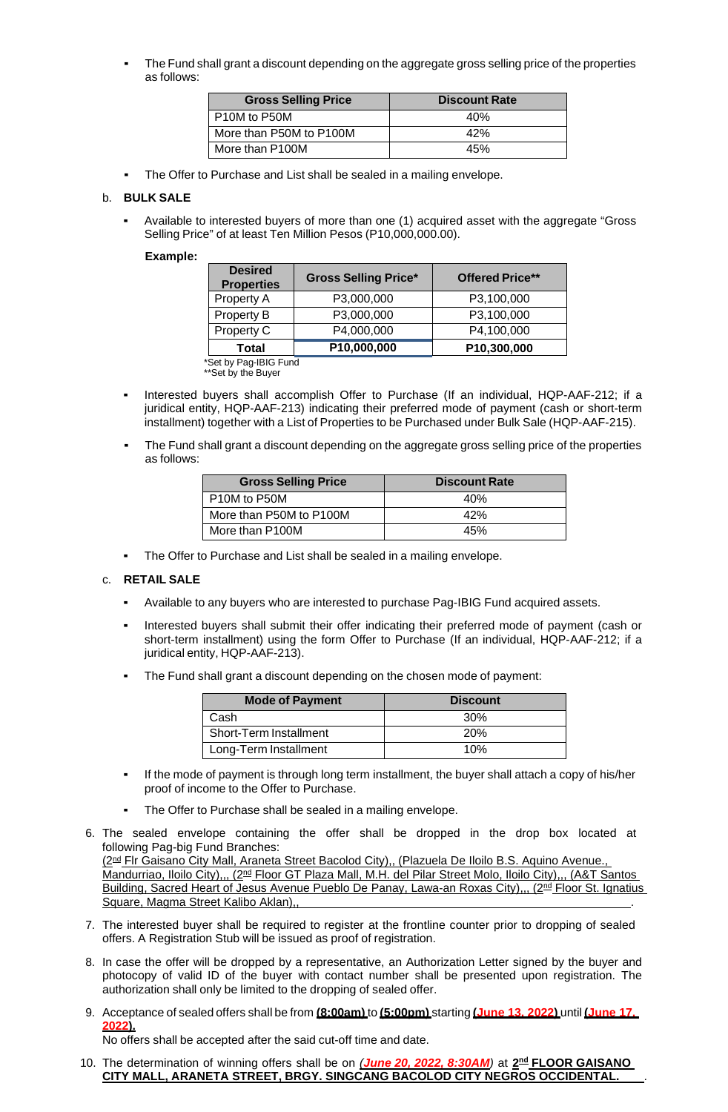The Fund shall grant a discount depending on the aggregate gross selling price of the properties as follows:

| <b>Gross Selling Price</b> | <b>Discount Rate</b> |
|----------------------------|----------------------|
| P10M to P50M               | 40%                  |
| More than P50M to P100M    | 42%                  |
| More than P100M            | 45%                  |

The Offer to Purchase and List shall be sealed in a mailing envelope.

### b. **BULK SALE**

Available to interested buyers of more than one (1) acquired asset with the aggregate "Gross Selling Price" of at least Ten Million Pesos (P10,000,000.00).

#### **Example:**

| <b>Desired</b><br><b>Properties</b>     | <b>Gross Selling Price*</b> | <b>Offered Price**</b> |  |  |  |  |
|-----------------------------------------|-----------------------------|------------------------|--|--|--|--|
| Property A                              | P3,000,000                  | P3,100,000             |  |  |  |  |
| Property B                              | P3,000,000                  | P3,100,000             |  |  |  |  |
| Property C                              | P4,000,000                  | P4,100,000             |  |  |  |  |
| Total                                   | P10,000,000                 | P10,300,000            |  |  |  |  |
| $0.41$ km $0.22$ into $0.02$ km $^{-1}$ |                             |                        |  |  |  |  |

\*Set by Pag-IBIG Fund \*\*Set by the Buyer

- Interested buyers shall accomplish Offer to Purchase (If an individual, HQP-AAF-212; if a juridical entity, HQP-AAF-213) indicating their preferred mode of payment (cash or short-term installment) together with a List of Properties to be Purchased under Bulk Sale (HQP-AAF-215).
- The Fund shall grant a discount depending on the aggregate gross selling price of the properties as follows:

| <b>Gross Selling Price</b> | <b>Discount Rate</b> |
|----------------------------|----------------------|
| P10M to P50M               | 40%                  |
| More than P50M to P100M    | 42%                  |
| More than P100M            | 45%                  |

The Offer to Purchase and List shall be sealed in a mailing envelope.

#### c. **RETAIL SALE**

- Available to any buyers who are interested to purchase Pag-IBIG Fund acquired assets.
- Interested buyers shall submit their offer indicating their preferred mode of payment (cash or short-term installment) using the form Offer to Purchase (If an individual, HQP-AAF-212; if a juridical entity, HQP-AAF-213).
- The Fund shall grant a discount depending on the chosen mode of payment:

| <b>Mode of Payment</b> | <b>Discount</b> |
|------------------------|-----------------|
| Cash                   | 30%             |
| Short-Term Installment | <b>20%</b>      |
| Long-Term Installment  | 10%             |

- If the mode of payment is through long term installment, the buyer shall attach a copy of his/her proof of income to the Offer to Purchase.
- The Offer to Purchase shall be sealed in a mailing envelope.
- 6. The sealed envelope containing the offer shall be dropped in the drop box located at following Pag-big Fund Branches: (2<sup>nd</sup> Flr Gaisano City Mall, Araneta Street Bacolod City),, (Plazuela De Iloilo B.S. Aquino Avenue., Mandurriao, Iloilo City),,, (2<sup>nd</sup> Floor GT Plaza Mall, M.H. del Pilar Street Molo, Iloilo City),,, (A&T Santos

Building, Sacred Heart of Jesus Avenue Pueblo De Panay, Lawa-an Roxas City),,, (2<sup>nd</sup> Floor St. Ignatius Square, Magma Street Kalibo Aklan)

- 7. The interested buyer shall be required to register at the frontline counter prior to dropping of sealed offers. A Registration Stub will be issued as proof of registration.
- 8. In case the offer will be dropped by a representative, an Authorization Letter signed by the buyer and photocopy of valid ID of the buyer with contact number shall be presented upon registration. The authorization shall only be limited to the dropping of sealed offer.
- 9. Acceptance of sealed offers shall be from **(8:00am)** to **(5:00pm)** starting **(June 13, 2022)** until **(June 17, 2022).**

No offers shall be accepted after the said cut-off time and date.

10. The determination of winning offers shall be on *(June 20, 2022, 8:30AM)* at **2nd FLOOR GAISANO CITY MALL, ARANETA STREET, BRGY. SINGCANG BACOLOD CITY NEGROS OCCIDENTAL.** *.*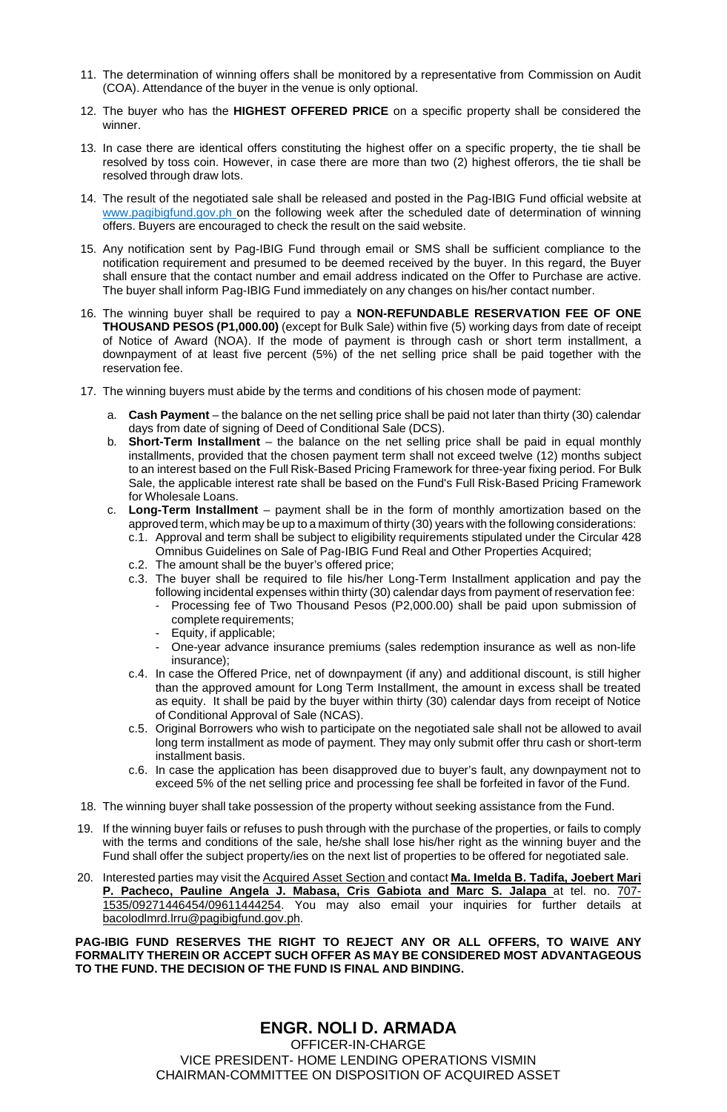- 11. The determination of winning offers shall be monitored by a representative from Commission on Audit (COA). Attendance of the buyer in the venue is only optional.
- 12. The buyer who has the **HIGHEST OFFERED PRICE** on a specific property shall be considered the winner.
- 13. In case there are identical offers constituting the highest offer on a specific property, the tie shall be resolved by toss coin. However, in case there are more than two (2) highest offerors, the tie shall be resolved through draw lots.
- 14. The result of the negotiated sale shall be released and posted in the Pag-IBIG Fund official website at [www.pagibigfund.gov.ph](http://www.pagibigfund.gov.ph/) on the following week after the scheduled date of determination of winning offers. Buyers are encouraged to check the result on the said website.
- 15. Any notification sent by Pag-IBIG Fund through email or SMS shall be sufficient compliance to the notification requirement and presumed to be deemed received by the buyer. In this regard, the Buyer shall ensure that the contact number and email address indicated on the Offer to Purchase are active. The buyer shall inform Pag-IBIG Fund immediately on any changes on his/her contact number.
- 16. The winning buyer shall be required to pay a **NON-REFUNDABLE RESERVATION FEE OF ONE THOUSAND PESOS (P1,000.00)** (except for Bulk Sale) within five (5) working days from date of receipt of Notice of Award (NOA). If the mode of payment is through cash or short term installment, a downpayment of at least five percent (5%) of the net selling price shall be paid together with the reservation fee.
- 17. The winning buyers must abide by the terms and conditions of his chosen mode of payment:
	- a. **Cash Payment** the balance on the net selling price shall be paid not later than thirty (30) calendar days from date of signing of Deed of Conditional Sale (DCS).
	- b. **Short-Term Installment** the balance on the net selling price shall be paid in equal monthly installments, provided that the chosen payment term shall not exceed twelve (12) months subject to an interest based on the Full Risk-Based Pricing Framework for three-year fixing period. For Bulk Sale, the applicable interest rate shall be based on the Fund's Full Risk-Based Pricing Framework for Wholesale Loans.
	- c. **Long-Term Installment** payment shall be in the form of monthly amortization based on the approved term, which may be up to a maximum of thirty (30) years with the following considerations:
		- c.1. Approval and term shall be subject to eligibility requirements stipulated under the Circular 428 Omnibus Guidelines on Sale of Pag-IBIG Fund Real and Other Properties Acquired;
		- c.2. The amount shall be the buyer's offered price;
		- c.3. The buyer shall be required to file his/her Long-Term Installment application and pay the following incidental expenses within thirty (30) calendar days from payment of reservation fee:
			- Processing fee of Two Thousand Pesos (P2,000.00) shall be paid upon submission of complete requirements;
			- Equity, if applicable;
			- One-year advance insurance premiums (sales redemption insurance as well as non-life insurance);
		- c.4. In case the Offered Price, net of downpayment (if any) and additional discount, is still higher than the approved amount for Long Term Installment, the amount in excess shall be treated as equity. It shall be paid by the buyer within thirty (30) calendar days from receipt of Notice of Conditional Approval of Sale (NCAS).
		- c.5. Original Borrowers who wish to participate on the negotiated sale shall not be allowed to avail long term installment as mode of payment. They may only submit offer thru cash or short-term installment basis.
		- c.6. In case the application has been disapproved due to buyer's fault, any downpayment not to exceed 5% of the net selling price and processing fee shall be forfeited in favor of the Fund.
- 18. The winning buyer shall take possession of the property without seeking assistance from the Fund.
- 19. If the winning buyer fails or refuses to push through with the purchase of the properties, or fails to comply with the terms and conditions of the sale, he/she shall lose his/her right as the winning buyer and the Fund shall offer the subject property/ies on the next list of properties to be offered for negotiated sale.
- 20. Interested parties may visit the Acquired Asset Section and contact **Ma. Imelda B. Tadifa, Joebert Mari P. Pacheco, Pauline Angela J. Mabasa, Cris Gabiota and Marc S. Jalapa** at tel. no. 707- 1535/09271446454/09611444254. You may also email your inquiries for further details at bacolodlmrd.lrru@pagibigfund.gov.ph.

**PAG-IBIG FUND RESERVES THE RIGHT TO REJECT ANY OR ALL OFFERS, TO WAIVE ANY FORMALITY THEREIN OR ACCEPT SUCH OFFER AS MAY BE CONSIDERED MOST ADVANTAGEOUS TO THE FUND. THE DECISION OF THE FUND IS FINAL AND BINDING.**

# **ENGR. NOLI D. ARMADA** OFFICER-IN-CHARGE VICE PRESIDENT- HOME LENDING OPERATIONS VISMIN CHAIRMAN-COMMITTEE ON DISPOSITION OF ACQUIRED ASSET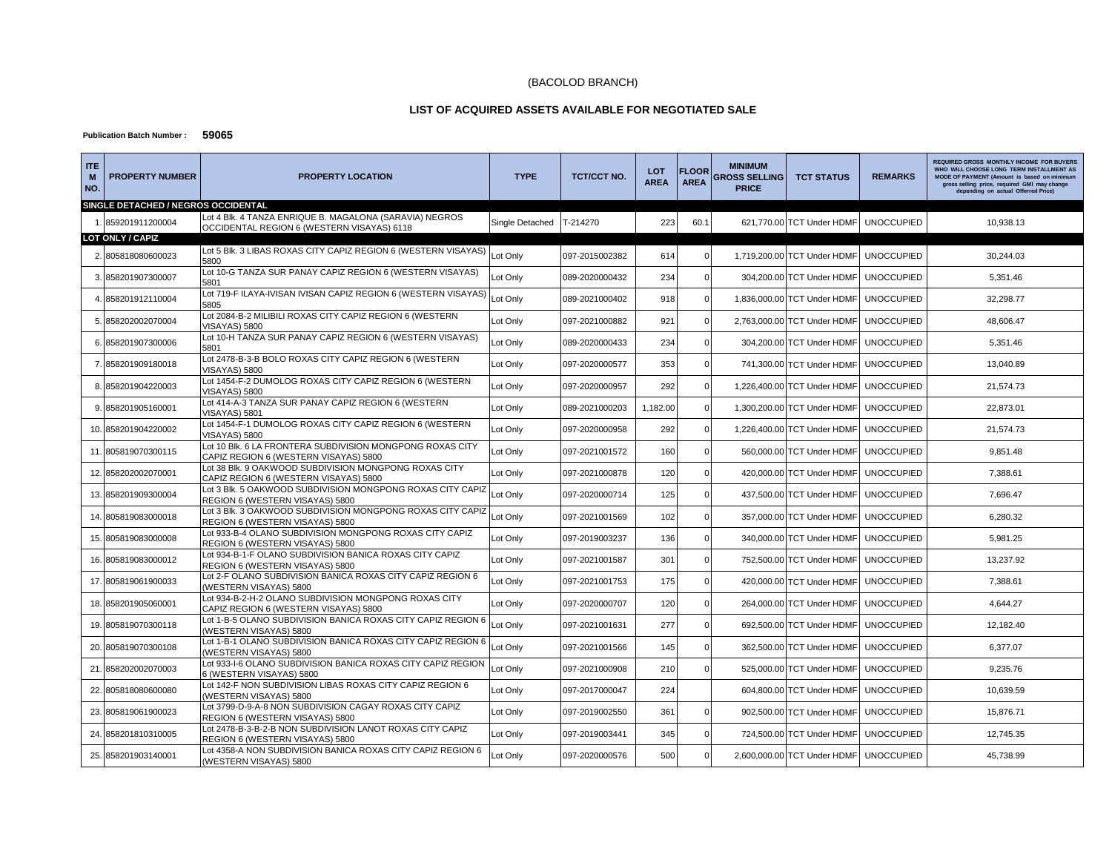#### (BACOLOD BRANCH)

#### **LIST OF ACQUIRED ASSETS AVAILABLE FOR NEGOTIATED SALE**

#### **Publication Batch Number : 59065**

| <b>ITE</b><br>M<br>NO. | <b>PROPERTY NUMBER</b>              | <b>PROPERTY LOCATION</b>                                                                              | <b>TYPE</b>     | <b>TCT/CCT NO.</b> | <b>LOT</b><br><b>AREA</b> | <b>FLOOR</b><br><b>AREA</b> | <b>MINIMUM</b><br><b>GROSS SELLING I</b><br><b>PRICE</b> | <b>TCT STATUS</b>                      | <b>REMARKS</b>    | <b>REQUIRED GROSS MONTHLY INCOME FOR BUYERS</b><br>WHO WILL CHOOSE LONG TERM INSTALLMENT AS<br>MODE OF PAYMENT (Amount is based on minimum<br>gross selling price, required GMI may change<br>depending on actual Offerred Price) |
|------------------------|-------------------------------------|-------------------------------------------------------------------------------------------------------|-----------------|--------------------|---------------------------|-----------------------------|----------------------------------------------------------|----------------------------------------|-------------------|-----------------------------------------------------------------------------------------------------------------------------------------------------------------------------------------------------------------------------------|
|                        | SINGLE DETACHED / NEGROS OCCIDENTAL |                                                                                                       |                 |                    |                           |                             |                                                          |                                        |                   |                                                                                                                                                                                                                                   |
|                        | 859201911200004                     | Lot 4 Blk. 4 TANZA ENRIQUE B. MAGALONA (SARAVIA) NEGROS<br>OCCIDENTAL REGION 6 (WESTERN VISAYAS) 6118 | Single Detached | T-214270           | 223                       | 60.1                        |                                                          | 621,770.00 TCT Under HDMF              | <b>UNOCCUPIED</b> | 10,938.13                                                                                                                                                                                                                         |
|                        | LOT ONLY / CAPIZ                    |                                                                                                       |                 |                    |                           |                             |                                                          |                                        |                   |                                                                                                                                                                                                                                   |
|                        | 805818080600023                     | Lot 5 Blk. 3 LIBAS ROXAS CITY CAPIZ REGION 6 (WESTERN VISAYAS)<br>5800                                | Lot Only        | 097-2015002382     | 614                       |                             |                                                          | 1.719.200.00 TCT Under HDMF            | <b>UNOCCUPIED</b> | 30.244.03                                                                                                                                                                                                                         |
|                        | 3. 858201907300007                  | Lot 10-G TANZA SUR PANAY CAPIZ REGION 6 (WESTERN VISAYAS)<br>5801                                     | Lot Only        | 089-2020000432     | 234                       | $\Omega$                    |                                                          | 304,200.00 TCT Under HDMF              | <b>UNOCCUPIED</b> | 5,351.46                                                                                                                                                                                                                          |
|                        | 858201912110004                     | Lot 719-F ILAYA-IVISAN IVISAN CAPIZ REGION 6 (WESTERN VISAYAS)<br>5805                                | Lot Only        | 089-2021000402     | 918                       | $\Omega$                    |                                                          | 1,836,000.00 TCT Under HDMF            | <b>UNOCCUPIED</b> | 32.298.77                                                                                                                                                                                                                         |
| 5.                     | 858202002070004                     | Lot 2084-B-2 MILIBILI ROXAS CITY CAPIZ REGION 6 (WESTERN<br>VISAYAS) 5800                             | Lot Only        | 097-2021000882     | 921                       |                             |                                                          | 2,763,000.00 TCT Under HDMF            | <b>UNOCCUPIED</b> | 48,606.47                                                                                                                                                                                                                         |
|                        | 6. 858201907300006                  | Lot 10-H TANZA SUR PANAY CAPIZ REGION 6 (WESTERN VISAYAS)<br>5801                                     | Lot Only        | 089-2020000433     | 234                       | $\Omega$                    |                                                          | 304,200.00 TCT Under HDMF              | <b>UNOCCUPIED</b> | 5,351.46                                                                                                                                                                                                                          |
| 7.                     | 858201909180018                     | Lot 2478-B-3-B BOLO ROXAS CITY CAPIZ REGION 6 (WESTERN<br><b>VISAYAS) 5800</b>                        | Lot Only        | 097-2020000577     | 353                       |                             |                                                          | 741,300.00 TCT Under HDMF              | <b>UNOCCUPIED</b> | 13,040.89                                                                                                                                                                                                                         |
|                        | 858201904220003                     | Lot 1454-F-2 DUMOLOG ROXAS CITY CAPIZ REGION 6 (WESTERN<br><b>VISAYAS) 5800</b>                       | Lot Only        | 097-2020000957     | 292                       | $\Omega$                    |                                                          | 1,226,400.00 TCT Under HDMF            | <b>UNOCCUPIED</b> | 21,574.73                                                                                                                                                                                                                         |
| 9.                     | 858201905160001                     | Lot 414-A-3 TANZA SUR PANAY CAPIZ REGION 6 (WESTERN<br><b>VISAYAS) 5801</b>                           | Lot Only        | 089-2021000203     | 1,182.00                  | $\Omega$                    |                                                          | 1,300,200.00 TCT Under HDMF            | <b>UNOCCUPIED</b> | 22,873.01                                                                                                                                                                                                                         |
|                        | 10. 858201904220002                 | Lot 1454-F-1 DUMOLOG ROXAS CITY CAPIZ REGION 6 (WESTERN<br><b>VISAYAS) 5800</b>                       | Lot Only        | 097-2020000958     | 292                       |                             |                                                          | 1,226,400.00 TCT Under HDMF            | <b>UNOCCUPIED</b> | 21,574.73                                                                                                                                                                                                                         |
|                        | 11. 805819070300115                 | Lot 10 Blk. 6 LA FRONTERA SUBDIVISION MONGPONG ROXAS CITY<br>CAPIZ REGION 6 (WESTERN VISAYAS) 5800    | Lot Only        | 097-2021001572     | 160                       | $\Omega$                    |                                                          | 560,000.00 TCT Under HDMF              | <b>UNOCCUPIED</b> | 9,851.48                                                                                                                                                                                                                          |
| 12.                    | 858202002070001                     | Lot 38 Blk. 9 OAKWOOD SUBDIVISION MONGPONG ROXAS CITY<br>CAPIZ REGION 6 (WESTERN VISAYAS) 5800        | Lot Only        | 097-2021000878     | 120                       |                             |                                                          | 420,000.00 TCT Under HDMF              | <b>UNOCCUPIED</b> | 7,388.61                                                                                                                                                                                                                          |
| 13.                    | 858201909300004                     | Lot 3 Blk. 5 OAKWOOD SUBDIVISION MONGPONG ROXAS CITY CAPIZ<br>REGION 6 (WESTERN VISAYAS) 5800         | Lot Only        | 097-2020000714     | 125                       | $\Omega$                    |                                                          | 437,500.00 TCT Under HDMF              | <b>UNOCCUPIED</b> | 7,696.47                                                                                                                                                                                                                          |
|                        | 14. 805819083000018                 | Lot 3 Blk. 3 OAKWOOD SUBDIVISION MONGPONG ROXAS CITY CAPIZ<br>REGION 6 (WESTERN VISAYAS) 5800         | Lot Only        | 097-2021001569     | 102                       | $\Omega$                    |                                                          | 357,000.00 TCT Under HDMF              | <b>UNOCCUPIED</b> | 6,280.32                                                                                                                                                                                                                          |
|                        | 15. 805819083000008                 | Lot 933-B-4 OLANO SUBDIVISION MONGPONG ROXAS CITY CAPIZ<br>REGION 6 (WESTERN VISAYAS) 5800            | Lot Only        | 097-2019003237     | 136                       | $\Omega$                    |                                                          | 340,000.00 TCT Under HDMF              | <b>UNOCCUPIED</b> | 5,981.25                                                                                                                                                                                                                          |
| 16.                    | 805819083000012                     | Lot 934-B-1-F OLANO SUBDIVISION BANICA ROXAS CITY CAPIZ<br>REGION 6 (WESTERN VISAYAS) 5800            | Lot Only        | 097-2021001587     | 301                       | $\Omega$                    |                                                          | 752,500.00 TCT Under HDMF              | <b>UNOCCUPIED</b> | 13,237.92                                                                                                                                                                                                                         |
|                        | 17. 805819061900033                 | Lot 2-F OLANO SUBDIVISION BANICA ROXAS CITY CAPIZ REGION 6<br>(WESTERN VISAYAS) 5800                  | Lot Only        | 097-2021001753     | 175                       | $\Omega$                    |                                                          | 420,000.00 TCT Under HDMF              | <b>UNOCCUPIED</b> | 7,388.61                                                                                                                                                                                                                          |
| 18.                    | 858201905060001                     | Lot 934-B-2-H-2 OLANO SUBDIVISION MONGPONG ROXAS CITY<br>CAPIZ REGION 6 (WESTERN VISAYAS) 5800        | Lot Only        | 097-2020000707     | 120                       | $\Omega$                    |                                                          | 264,000.00 TCT Under HDMF              | <b>UNOCCUPIED</b> | 4,644.27                                                                                                                                                                                                                          |
|                        | 19. 805819070300118                 | Lot 1-B-5 OLANO SUBDIVISION BANICA ROXAS CITY CAPIZ REGION 6<br>(WESTERN VISAYAS) 5800                | Lot Only        | 097-2021001631     | 277                       |                             |                                                          | 692,500.00 TCT Under HDMF UNOCCUPIED   |                   | 12,182.40                                                                                                                                                                                                                         |
| 20.                    | 805819070300108                     | Lot 1-B-1 OLANO SUBDIVISION BANICA ROXAS CITY CAPIZ REGION 6<br>(WESTERN VISAYAS) 5800                | Lot Only        | 097-2021001566     | 145                       |                             |                                                          | 362,500.00 TCT Under HDMF              | <b>UNOCCUPIED</b> | 6,377.07                                                                                                                                                                                                                          |
| 21                     | 858202002070003                     | Lot 933-I-6 OLANO SUBDIVISION BANICA ROXAS CITY CAPIZ REGION<br>6 (WESTERN VISAYAS) 5800              | Lot Only        | 097-2021000908     | 210                       |                             |                                                          | 525,000.00 TCT Under HDMF              | <b>UNOCCUPIED</b> | 9,235.76                                                                                                                                                                                                                          |
|                        | 22. 805818080600080                 | Lot 142-F NON SUBDIVISION LIBAS ROXAS CITY CAPIZ REGION 6<br>(WESTERN VISAYAS) 5800                   | Lot Only        | 097-2017000047     | 224                       |                             |                                                          | 604,800.00 TCT Under HDMF              | <b>UNOCCUPIED</b> | 10,639.59                                                                                                                                                                                                                         |
| 23.                    | 805819061900023                     | Lot 3799-D-9-A-8 NON SUBDIVISION CAGAY ROXAS CITY CAPIZ<br>REGION 6 (WESTERN VISAYAS) 5800            | Lot Only        | 097-2019002550     | 361                       |                             |                                                          | 902,500.00 TCT Under HDMF              | <b>UNOCCUPIED</b> | 15,876.71                                                                                                                                                                                                                         |
| 24.                    | 858201810310005                     | Lot 2478-B-3-B-2-B NON SUBDIVISION LANOT ROXAS CITY CAPIZ<br>REGION 6 (WESTERN VISAYAS) 5800          | Lot Only        | 097-2019003441     | 345                       | $\Omega$                    |                                                          | 724,500.00 TCT Under HDMF              | <b>UNOCCUPIED</b> | 12,745.35                                                                                                                                                                                                                         |
|                        | 25. 858201903140001                 | Lot 4358-A NON SUBDIVISION BANICA ROXAS CITY CAPIZ REGION 6<br>(WESTERN VISAYAS) 5800                 | Lot Only        | 097-2020000576     | 500                       |                             |                                                          | 2,600,000.00 TCT Under HDMF UNOCCUPIED |                   | 45,738.99                                                                                                                                                                                                                         |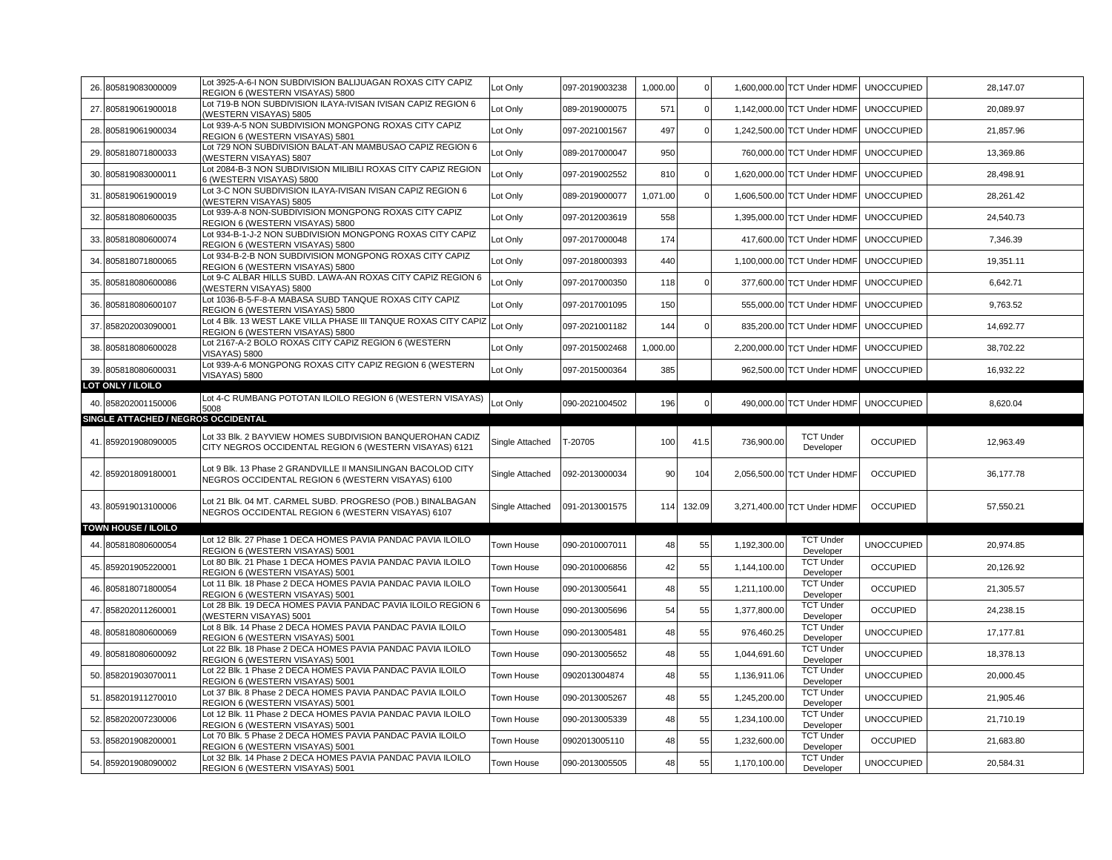|     | 26. 805819083000009                 | Lot 3925-A-6-I NON SUBDIVISION BALIJUAGAN ROXAS CITY CAPIZ<br>REGION 6 (WESTERN VISAYAS) 5800                                    | Lot Only        | 097-2019003238 | 1,000.00 | $\Omega$    |              | 1,600,000.00 TCT Under HDMF                | <b>UNOCCUPIED</b> | 28,147.07 |
|-----|-------------------------------------|----------------------------------------------------------------------------------------------------------------------------------|-----------------|----------------|----------|-------------|--------------|--------------------------------------------|-------------------|-----------|
|     |                                     | Lot 719-B NON SUBDIVISION ILAYA-IVISAN IVISAN CAPIZ REGION 6                                                                     |                 |                | 571      | $\Omega$    |              |                                            |                   |           |
|     | 27. 805819061900018                 | (WESTERN VISAYAS) 5805                                                                                                           | Lot Only        | 089-2019000075 |          |             |              | 1,142,000.00 TCT Under HDMF                | <b>UNOCCUPIED</b> | 20,089.97 |
|     | 28. 805819061900034                 | Lot 939-A-5 NON SUBDIVISION MONGPONG ROXAS CITY CAPIZ<br>REGION 6 (WESTERN VISAYAS) 5801                                         | Lot Only        | 097-2021001567 | 497      | $\Omega$    |              | 1,242,500.00 TCT Under HDMF                | <b>UNOCCUPIED</b> | 21,857.96 |
|     | 29.805818071800033                  | Lot 729 NON SUBDIVISION BALAT-AN MAMBUSAO CAPIZ REGION 6<br>WESTERN VISAYAS) 5807                                                | Lot Only        | 089-2017000047 | 950      |             |              | 760,000.00 TCT Under HDMF                  | <b>UNOCCUPIED</b> | 13,369.86 |
|     | 30. 805819083000011                 | Lot 2084-B-3 NON SUBDIVISION MILIBILI ROXAS CITY CAPIZ REGION<br>6 (WESTERN VISAYAS) 5800                                        | Lot Only        | 097-2019002552 | 810      | $\Omega$    |              | 1,620,000.00 TCT Under HDMF                | <b>UNOCCUPIED</b> | 28,498.91 |
|     | 31. 805819061900019                 | Lot 3-C NON SUBDIVISION ILAYA-IVISAN IVISAN CAPIZ REGION 6                                                                       | Lot Only        | 089-2019000077 | 1,071.00 | $\Omega$    |              | 1,606,500.00 TCT Under HDMF                | <b>UNOCCUPIED</b> | 28,261.42 |
|     | 32.805818080600035                  | WESTERN VISAYAS) 5805<br>Lot 939-A-8 NON-SUBDIVISION MONGPONG ROXAS CITY CAPIZ                                                   | Lot Only        | 097-2012003619 | 558      |             |              | 1,395,000.00 TCT Under HDMF                | <b>UNOCCUPIED</b> | 24,540.73 |
|     | 33. 805818080600074                 | REGION 6 (WESTERN VISAYAS) 5800<br>Lot 934-B-1-J-2 NON SUBDIVISION MONGPONG ROXAS CITY CAPIZ                                     | Lot Only        | 097-2017000048 | 174      |             |              | 417,600.00 TCT Under HDMF                  | <b>UNOCCUPIED</b> | 7,346.39  |
|     | 34. 805818071800065                 | REGION 6 (WESTERN VISAYAS) 5800<br>Lot 934-B-2-B NON SUBDIVISION MONGPONG ROXAS CITY CAPIZ                                       | Lot Only        | 097-2018000393 | 440      |             |              | 1,100,000.00 TCT Under HDMF                | <b>UNOCCUPIED</b> | 19,351.11 |
|     |                                     | REGION 6 (WESTERN VISAYAS) 5800<br>Lot 9-C ALBAR HILLS SUBD. LAWA-AN ROXAS CITY CAPIZ REGION 6                                   |                 |                |          |             |              |                                            |                   |           |
|     | 35. 805818080600086                 | WESTERN VISAYAS) 5800                                                                                                            | Lot Only        | 097-2017000350 | 118      | $\Omega$    |              | 377,600.00 TCT Under HDMF                  | <b>UNOCCUPIED</b> | 6,642.71  |
|     | 36. 805818080600107                 | Lot 1036-B-5-F-8-A MABASA SUBD TANQUE ROXAS CITY CAPIZ<br>REGION 6 (WESTERN VISAYAS) 5800                                        | Lot Only        | 097-2017001095 | 150      |             |              | 555,000.00 TCT Under HDMF                  | <b>UNOCCUPIED</b> | 9,763.52  |
|     | 37. 858202003090001                 | Lot 4 Blk. 13 WEST LAKE VILLA PHASE III TANQUE ROXAS CITY CAPIZ<br>REGION 6 (WESTERN VISAYAS) 5800                               | Lot Only        | 097-2021001182 | 144      | $\mathbf 0$ |              | 835,200.00 TCT Under HDMF                  | <b>UNOCCUPIED</b> | 14,692.77 |
|     | 38. 805818080600028                 | Lot 2167-A-2 BOLO ROXAS CITY CAPIZ REGION 6 (WESTERN<br><b>VISAYAS) 5800</b>                                                     | Lot Only        | 097-2015002468 | 1,000.00 |             |              | 2,200,000.00 TCT Under HDMF                | <b>UNOCCUPIED</b> | 38,702.22 |
|     | 39. 805818080600031                 | Lot 939-A-6 MONGPONG ROXAS CITY CAPIZ REGION 6 (WESTERN<br><b>VISAYAS) 5800</b>                                                  | Lot Only        | 097-2015000364 | 385      |             |              | 962,500.00 TCT Under HDMF                  | <b>UNOCCUPIED</b> | 16,932.22 |
|     | LOT ONLY / ILOILO                   |                                                                                                                                  |                 |                |          |             |              |                                            |                   |           |
|     | 40. 858202001150006                 | Lot 4-C RUMBANG POTOTAN ILOILO REGION 6 (WESTERN VISAYAS)<br>5008                                                                | Lot Only        | 090-2021004502 | 196      | $\mathbf 0$ |              | 490,000.00 TCT Under HDMF                  | <b>UNOCCUPIED</b> | 8,620.04  |
|     | SINGLE ATTACHED / NEGROS OCCIDENTAL |                                                                                                                                  |                 |                |          |             |              |                                            |                   |           |
|     | 41.859201908090005                  | Lot 33 Blk. 2 BAYVIEW HOMES SUBDIVISION BANQUEROHAN CADIZ<br>CITY NEGROS OCCIDENTAL REGION 6 (WESTERN VISAYAS) 6121              | Single Attached | T-20705        | 100      | 41.5        | 736,900.00   | <b>TCT Under</b><br>Developer              | <b>OCCUPIED</b>   | 12,963.49 |
|     | 42. 859201809180001                 | Lot 9 Blk. 13 Phase 2 GRANDVILLE II MANSILINGAN BACOLOD CITY<br>NEGROS OCCIDENTAL REGION 6 (WESTERN VISAYAS) 6100                | Single Attached | 092-2013000034 |          | 104         |              | 2,056,500.00 TCT Under HDMF                |                   |           |
|     |                                     |                                                                                                                                  |                 |                | 90       |             |              |                                            | <b>OCCUPIED</b>   | 36,177.78 |
|     | 43. 805919013100006                 | Lot 21 Blk. 04 MT. CARMEL SUBD. PROGRESO (POB.) BINALBAGAN<br>NEGROS OCCIDENTAL REGION 6 (WESTERN VISAYAS) 6107                  | Single Attached | 091-2013001575 | 114      | 132.09      |              | 3,271,400.00 TCT Under HDMF                | <b>OCCUPIED</b>   | 57,550.21 |
|     | <b>TOWN HOUSE / ILOILO</b>          |                                                                                                                                  |                 |                |          |             |              |                                            |                   |           |
| 44. | 805818080600054                     | Lot 12 Blk. 27 Phase 1 DECA HOMES PAVIA PANDAC PAVIA ILOILO<br>REGION 6 (WESTERN VISAYAS) 5001                                   | Town House      | 090-2010007011 | 48       | 55          | 1,192,300.00 | <b>TCT Under</b><br>Developer              | <b>UNOCCUPIED</b> | 20,974.85 |
|     | 45. 859201905220001                 | Lot 80 Blk. 21 Phase 1 DECA HOMES PAVIA PANDAC PAVIA ILOILO<br>REGION 6 (WESTERN VISAYAS) 5001                                   | Town House      | 090-2010006856 | 42       | 55          | 1,144,100.00 | <b>TCT</b> Under<br>Developer              | <b>OCCUPIED</b>   | 20.126.92 |
|     | 46.805818071800054                  | Lot 11 Blk. 18 Phase 2 DECA HOMES PAVIA PANDAC PAVIA ILOILO                                                                      | Town House      | 090-2013005641 | 48       | 55          | 1,211,100.00 | <b>TCT Under</b>                           | <b>OCCUPIED</b>   | 21,305.57 |
|     | 47. 858202011260001                 | REGION 6 (WESTERN VISAYAS) 5001<br>Lot 28 Blk. 19 DECA HOMES PAVIA PANDAC PAVIA ILOILO REGION 6<br>WESTERN VISAYAS) 5001         | Town House      | 090-2013005696 | 54       | 55          | 1,377,800.00 | Developer<br><b>TCT Under</b><br>Developer | <b>OCCUPIED</b>   | 24,238.15 |
|     | 48. 805818080600069                 | Lot 8 Blk. 14 Phase 2 DECA HOMES PAVIA PANDAC PAVIA ILOILO                                                                       | Town House      | 090-2013005481 | 48       | 55          | 976,460.25   | <b>TCT Under</b>                           | <b>UNOCCUPIED</b> | 17.177.81 |
|     | 49. 805818080600092                 | REGION 6 (WESTERN VISAYAS) 5001<br>Lot 22 Blk. 18 Phase 2 DECA HOMES PAVIA PANDAC PAVIA ILOILO                                   | Town House      | 090-2013005652 | 48       | 55          | 1,044,691.60 | Developer<br><b>TCT Under</b>              | <b>UNOCCUPIED</b> | 18,378.13 |
|     | 50. 858201903070011                 | REGION 6 (WESTERN VISAYAS) 5001<br>Lot 22 Blk. 1 Phase 2 DECA HOMES PAVIA PANDAC PAVIA ILOILO                                    | Town House      | 0902013004874  | 48       | 55          | 1,136,911.06 | Developer<br><b>TCT Under</b>              | <b>UNOCCUPIED</b> | 20,000.45 |
|     | 51. 858201911270010                 | REGION 6 (WESTERN VISAYAS) 5001<br>Lot 37 Blk. 8 Phase 2 DECA HOMES PAVIA PANDAC PAVIA ILOILO                                    | Town House      | 090-2013005267 | 48       | 55          | 1,245,200.00 | Developer<br><b>TCT Under</b>              | <b>UNOCCUPIED</b> | 21,905.46 |
|     | 52. 858202007230006                 | REGION 6 (WESTERN VISAYAS) 5001<br>Lot 12 Blk. 11 Phase 2 DECA HOMES PAVIA PANDAC PAVIA ILOILO                                   | Town House      | 090-2013005339 | 48       | 55          | 1,234,100.00 | Developer<br><b>TCT Under</b>              | <b>UNOCCUPIED</b> | 21,710.19 |
|     | 53. 858201908200001                 | REGION 6 (WESTERN VISAYAS) 5001<br>Lot 70 Blk. 5 Phase 2 DECA HOMES PAVIA PANDAC PAVIA ILOILO<br>REGION 6 (WESTERN VISAYAS) 5001 | Town House      | 0902013005110  | 48       | 55          | 1,232,600.00 | Developer<br><b>TCT Under</b><br>Developer | <b>OCCUPIED</b>   | 21,683.80 |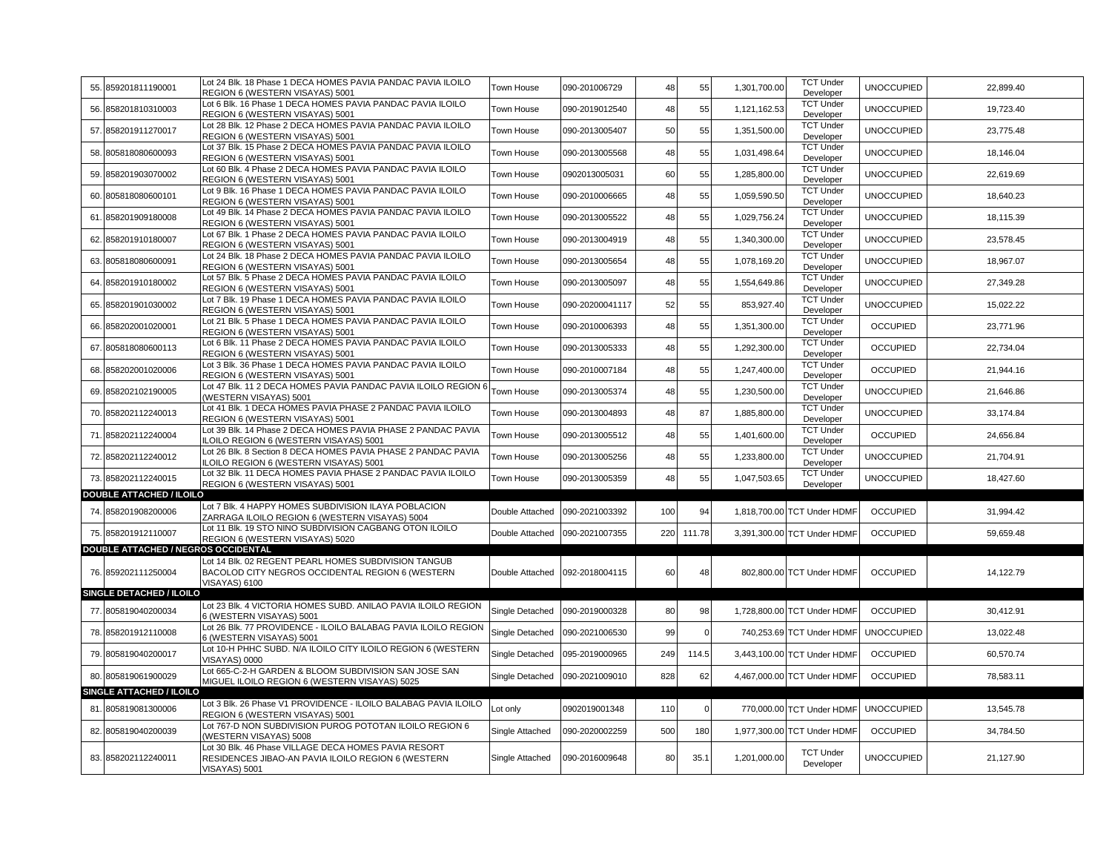| 55. | 859201811190001                     | Lot 24 Blk. 18 Phase 1 DECA HOMES PAVIA PANDAC PAVIA ILOILO<br>REGION 6 (WESTERN VISAYAS) 5001                                   | Town House        | 090-201006729   | 48  | 55       | 1,301,700.00 | <b>TCT Under</b><br>Developer | <b>UNOCCUPIED</b> | 22,899.40 |
|-----|-------------------------------------|----------------------------------------------------------------------------------------------------------------------------------|-------------------|-----------------|-----|----------|--------------|-------------------------------|-------------------|-----------|
| 56. | 858201810310003                     | Lot 6 Blk. 16 Phase 1 DECA HOMES PAVIA PANDAC PAVIA ILOILO<br>REGION 6 (WESTERN VISAYAS) 5001                                    | Town House        | 090-2019012540  | 48  | 55       | 1,121,162.53 | <b>TCT Under</b><br>Developer | <b>UNOCCUPIED</b> | 19,723.40 |
| 57  | 858201911270017                     | Lot 28 Blk. 12 Phase 2 DECA HOMES PAVIA PANDAC PAVIA ILOILO<br>REGION 6 (WESTERN VISAYAS) 5001                                   | Town House        | 090-2013005407  | 50  | 55       | 1,351,500.00 | <b>TCT Under</b><br>Developer | <b>UNOCCUPIED</b> | 23,775.48 |
| 58. | 805818080600093                     | Lot 37 Blk. 15 Phase 2 DECA HOMES PAVIA PANDAC PAVIA ILOILO<br>REGION 6 (WESTERN VISAYAS) 5001                                   | Town House        | 090-2013005568  | 48  | 55       | 1,031,498.64 | <b>TCT Under</b><br>Developer | <b>UNOCCUPIED</b> | 18,146.04 |
| 59. | 858201903070002                     | Lot 60 Blk. 4 Phase 2 DECA HOMES PAVIA PANDAC PAVIA ILOILO<br>REGION 6 (WESTERN VISAYAS) 5001                                    | Town House        | 0902013005031   | 60  | 55       | 1,285,800.00 | <b>TCT Under</b><br>Developer | <b>UNOCCUPIED</b> | 22,619.69 |
| 60. | 805818080600101                     | Lot 9 Blk. 16 Phase 1 DECA HOMES PAVIA PANDAC PAVIA ILOILO<br>REGION 6 (WESTERN VISAYAS) 5001                                    | Town House        | 090-2010006665  | 48  | 55       | 1,059,590.50 | <b>TCT Under</b><br>Developer | <b>UNOCCUPIED</b> | 18,640.23 |
| 61  | 858201909180008                     | Lot 49 Blk. 14 Phase 2 DECA HOMES PAVIA PANDAC PAVIA ILOILO<br>REGION 6 (WESTERN VISAYAS) 5001                                   | Town House        | 090-2013005522  | 48  | 55       | 1,029,756.24 | <b>TCT Under</b><br>Developer | <b>UNOCCUPIED</b> | 18,115.39 |
| 62. | 858201910180007                     | Lot 67 Blk. 1 Phase 2 DECA HOMES PAVIA PANDAC PAVIA ILOILO<br>REGION 6 (WESTERN VISAYAS) 5001                                    | Town House        | 090-2013004919  | 48  | 55       | 1,340,300.00 | <b>TCT Under</b><br>Developer | <b>UNOCCUPIED</b> | 23,578.45 |
| 63. | 805818080600091                     | Lot 24 Blk. 18 Phase 2 DECA HOMES PAVIA PANDAC PAVIA ILOILO<br>REGION 6 (WESTERN VISAYAS) 5001                                   | Town House        | 090-2013005654  | 48  | 55       | 1,078,169.20 | <b>TCT Under</b><br>Developer | <b>UNOCCUPIED</b> | 18,967.07 |
| 64  | 858201910180002                     | Lot 57 Blk. 5 Phase 2 DECA HOMES PAVIA PANDAC PAVIA ILOILO<br>REGION 6 (WESTERN VISAYAS) 5001                                    | Town House        | 090-2013005097  | 48  | 55       | 1,554,649.86 | <b>TCT Under</b><br>Developer | <b>UNOCCUPIED</b> | 27,349.28 |
| 65  | 858201901030002                     | Lot 7 Blk, 19 Phase 1 DECA HOMES PAVIA PANDAC PAVIA ILOILO<br>REGION 6 (WESTERN VISAYAS) 5001                                    | Town House        | 090-20200041117 | 52  | 55       | 853,927.40   | <b>TCT Under</b><br>Developer | <b>UNOCCUPIED</b> | 15,022.22 |
|     | 66. 858202001020001                 | Lot 21 Blk. 5 Phase 1 DECA HOMES PAVIA PANDAC PAVIA ILOILO<br>REGION 6 (WESTERN VISAYAS) 5001                                    | Town House        | 090-2010006393  | 48  | 55       | 1,351,300.00 | <b>TCT Under</b><br>Developer | <b>OCCUPIED</b>   | 23,771.96 |
| 67  | 805818080600113                     | Lot 6 Blk. 11 Phase 2 DECA HOMES PAVIA PANDAC PAVIA ILOILO<br>REGION 6 (WESTERN VISAYAS) 5001                                    | Town House        | 090-2013005333  | 48  | 55       | 1,292,300.00 | <b>TCT Under</b><br>Developer | <b>OCCUPIED</b>   | 22,734.04 |
| 68. | 858202001020006                     | Lot 3 Blk. 36 Phase 1 DECA HOMES PAVIA PANDAC PAVIA ILOILO<br>REGION 6 (WESTERN VISAYAS) 5001                                    | Town House        | 090-2010007184  | 48  | 55       | 1,247,400.00 | <b>TCT Under</b><br>Developer | <b>OCCUPIED</b>   | 21,944.16 |
|     | 69. 858202102190005                 | Lot 47 Blk, 11 2 DECA HOMES PAVIA PANDAC PAVIA ILOILO REGION 6<br>(WESTERN VISAYAS) 5001                                         | Town House        | 090-2013005374  | 48  | 55       | 1,230,500.00 | <b>TCT Under</b><br>Developer | <b>UNOCCUPIED</b> | 21,646.86 |
|     | 70. 858202112240013                 | Lot 41 Blk. 1 DECA HOMES PAVIA PHASE 2 PANDAC PAVIA ILOILO<br>REGION 6 (WESTERN VISAYAS) 5001                                    | Town House        | 090-2013004893  | 48  | 87       | 1,885,800.00 | <b>TCT Under</b><br>Developer | <b>UNOCCUPIED</b> | 33,174.84 |
| 71  | 858202112240004                     | Lot 39 Blk. 14 Phase 2 DECA HOMES PAVIA PHASE 2 PANDAC PAVIA<br>LOILO REGION 6 (WESTERN VISAYAS) 5001                            | Town House        | 090-2013005512  | 48  | 55       | 1,401,600.00 | <b>TCT Under</b><br>Developer | <b>OCCUPIED</b>   | 24,656.84 |
|     | 72. 858202112240012                 | Lot 26 Blk. 8 Section 8 DECA HOMES PAVIA PHASE 2 PANDAC PAVIA<br>ILOILO REGION 6 (WESTERN VISAYAS) 5001                          | <b>Town House</b> | 090-2013005256  | 48  | 55       | 1,233,800.00 | <b>TCT Under</b><br>Developer | <b>UNOCCUPIED</b> | 21,704.91 |
| 73. | 858202112240015                     | Lot 32 Blk. 11 DECA HOMES PAVIA PHASE 2 PANDAC PAVIA ILOILO<br>REGION 6 (WESTERN VISAYAS) 5001                                   | Town House        | 090-2013005359  | 48  | 55       | 1,047,503.65 | <b>TCT Under</b><br>Developer | <b>UNOCCUPIED</b> | 18,427.60 |
|     | <b>DOUBLE ATTACHED / ILOILO</b>     |                                                                                                                                  |                   |                 |     |          |              |                               |                   |           |
| 74  | 858201908200006                     | Lot 7 Blk. 4 HAPPY HOMES SUBDIVISION ILAYA POBLACION<br>ZARRAGA ILOILO REGION 6 (WESTERN VISAYAS) 5004                           | Double Attached   | 090-2021003392  | 100 | 94       | 1,818,700.00 | <b>TCT Under HDMF</b>         | <b>OCCUPIED</b>   | 31,994.42 |
|     | 75. 858201912110007                 | Lot 11 Blk. 19 STO NINO SUBDIVISION CAGBANG OTON ILOILO<br>REGION 6 (WESTERN VISAYAS) 5020                                       | Double Attached   | 090-2021007355  | 220 | 111.78   | 3,391,300.00 | <b>TCT Under HDMF</b>         | <b>OCCUPIED</b>   | 59,659.48 |
|     | DOUBLE ATTACHED / NEGROS OCCIDENTAL |                                                                                                                                  |                   |                 |     |          |              |                               |                   |           |
|     | 76. 859202111250004                 | Lot 14 Blk. 02 REGENT PEARL HOMES SUBDIVISION TANGUB<br>BACOLOD CITY NEGROS OCCIDENTAL REGION 6 (WESTERN<br><b>VISAYAS) 6100</b> | Double Attached   | 092-2018004115  | 60  | 48       |              | 802,800.00 TCT Under HDMF     | <b>OCCUPIED</b>   | 14,122.79 |
|     | <b>SINGLE DETACHED / ILOILO</b>     |                                                                                                                                  |                   |                 |     |          |              |                               |                   |           |
| 77. | 805819040200034                     | Lot 23 Blk. 4 VICTORIA HOMES SUBD. ANILAO PAVIA ILOILO REGION<br>6 (WESTERN VISAYAS) 5001                                        | Single Detached   | 090-2019000328  | 80  | 98       | 1,728,800.00 | <b>TCT Under HDMF</b>         | <b>OCCUPIED</b>   | 30,412.91 |
| 78. | 858201912110008                     | Lot 26 Blk. 77 PROVIDENCE - ILOILO BALABAG PAVIA ILOILO REGION<br>6 (WESTERN VISAYAS) 5001                                       | Single Detached   | 090-2021006530  | 99  | $\Omega$ | 740,253.69   | <b>TCT Under HDMF</b>         | <b>UNOCCUPIED</b> | 13,022.48 |
|     | 79. 805819040200017                 | Lot 10-H PHHC SUBD. N/A ILOILO CITY ILOILO REGION 6 (WESTERN<br><b>VISAYAS) 0000</b>                                             | Single Detached   | 095-2019000965  | 249 | 114.5    |              | 3,443,100.00 TCT Under HDMF   | <b>OCCUPIED</b>   | 60,570.74 |
|     | 80. 805819061900029                 | Lot 665-C-2-H GARDEN & BLOOM SUBDIVISION SAN JOSE SAN<br>MIGUEL ILOILO REGION 6 (WESTERN VISAYAS) 5025                           | Single Detached   | 090-2021009010  | 828 | 62       |              | 4,467,000.00 TCT Under HDMF   | <b>OCCUPIED</b>   | 78,583.11 |
|     | SINGLE ATTACHED / ILOILO            |                                                                                                                                  |                   |                 |     |          |              |                               |                   |           |
| 81  | 805819081300006                     | Lot 3 Blk. 26 Phase V1 PROVIDENCE - ILOILO BALABAG PAVIA ILOILO<br>REGION 6 (WESTERN VISAYAS) 5001                               | Lot only          | 0902019001348   | 110 | $\Omega$ | 770,000.00   | <b>TCT Under HDMF</b>         | <b>UNOCCUPIED</b> | 13,545.78 |
| 82. | 805819040200039                     | Lot 767-D NON SUBDIVISION PUROG POTOTAN ILOILO REGION 6<br>(WESTERN VISAYAS) 5008                                                | Single Attached   | 090-2020002259  | 500 | 180      | 1,977,300.00 | <b>TCT Under HDMF</b>         | <b>OCCUPIED</b>   | 34,784.50 |
|     | 83. 858202112240011                 | Lot 30 Blk, 46 Phase VILLAGE DECA HOMES PAVIA RESORT<br>RESIDENCES JIBAO-AN PAVIA ILOILO REGION 6 (WESTERN<br>VISAYAS) 5001      | Single Attached   | 090-2016009648  | 80  | 35.1     | 1,201,000.00 | <b>TCT Under</b><br>Developer | <b>UNOCCUPIED</b> | 21,127.90 |